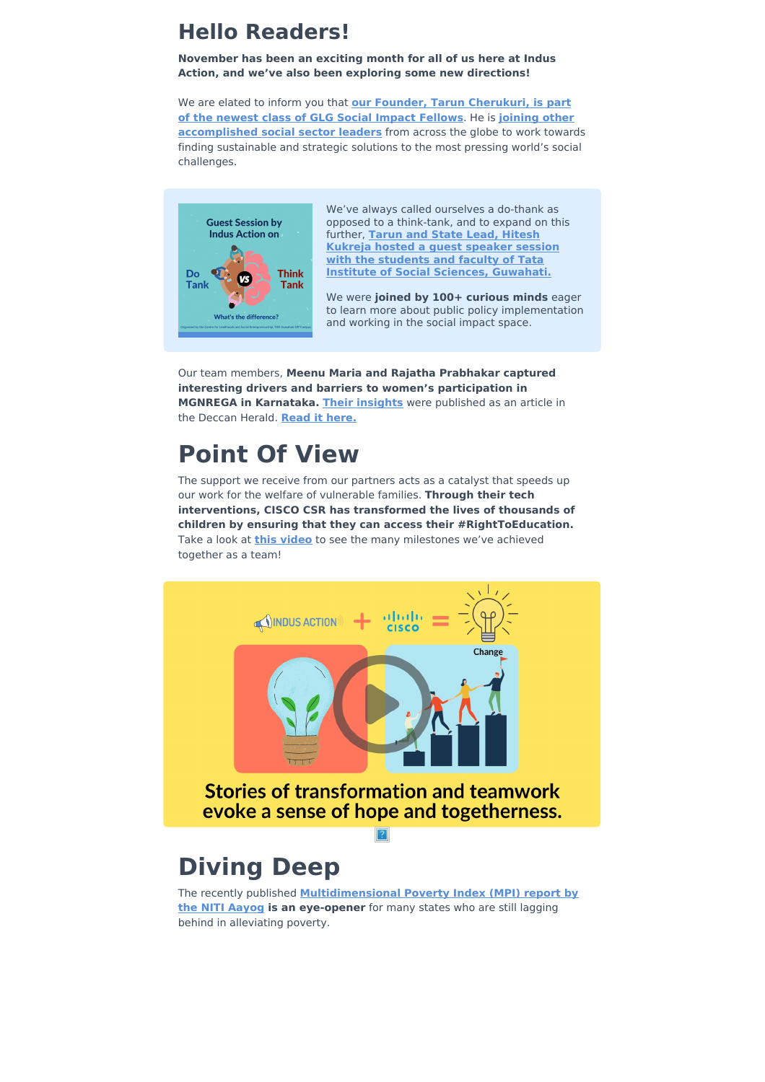### **Hello Readers!**

**November has been an exciting month for all of us here at Indus Action, and we've also been exploring some new directions!**

We are elated to inform you that **our Founder, Tarun [Cherukuri,](https://twitter.com/indusaction/status/1461238827058532354) is part of the newest class of GLG Social Impact Fellows**. He is **joining other [accomplished](https://glginsights.com/glg-social-impact/glg-social-impact-fellowship/) social sector leaders** from across the globe to work towards finding sustainable and strategic solutions to the most pressing world's social challenges.



We've always called ourselves a do-thank as opposed to a think-tank, and to expand on this further, **Tarun and State Lead, Hitesh Kukreja hosted a guest speaker session with the students and faculty of Tata Institute of Social Sciences, [Guwahati.](http://twitter.com/IndusAction/status/1460535921141444612)**

We were **joined by 100+ curious minds** eager to learn more about public policy implementation and working in the social impact space.

Our team members, **Meenu Maria and Rajatha Prabhakar captured interesting drivers and barriers to women's participation in MGNREGA in Karnataka. Their [insights](https://twitter.com/indusaction/status/1455872296468447240)** were published as an article in the Deccan Herald. **Read it [here.](https://www.deccanherald.com/opinion/mgnregs-and-womens-participation-in-karnataka-1046619.html)**

## **Point Of View**

The support we receive from our partners acts as a catalyst that speeds up our work for the welfare of vulnerable families. **Through their tech interventions, CISCO CSR has transformed the lives of thousands of children by ensuring that they can access their #RightToEducation.** Take a look at **this [video](https://youtu.be/2sw3-Bfz6II)** to see the many milestones we've achieved together as a team!



# **Diving Deep**

The recently published **[Multidimensional](https://indianexpress.com/article/india/poverty-index-up-bihar-mp-districts-lagging-multidimensional-poverty-index-7645099/) Poverty Index (MPI) report by the NITI Aayog is an eye-opener** for many states who are still lagging behind in alleviating poverty.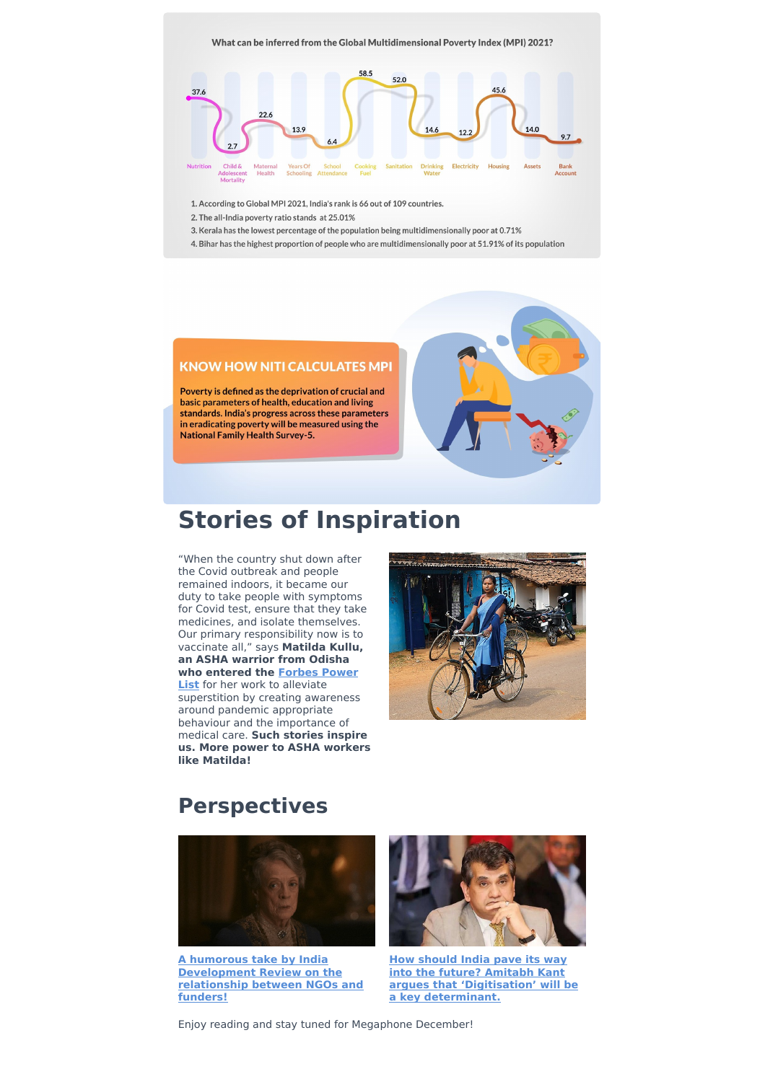

1. According to Global MPI 2021, India's rank is 66 out of 109 countries.

- 2. The all-India poverty ratio stands at 25.01%
- 3. Kerala has the lowest percentage of the population being multidimensionally poor at 0.71%
- 4. Bihar has the highest proportion of people who are multidimensionally poor at 51.91% of its population

#### **KNOW HOW NITI CALCULATES MPI**

Poverty is defined as the deprivation of crucial and basic parameters of health, education and living standards. India's progress across these parameters in eradicating poverty will be measured using the **National Family Health Survey-5.** 

### **Stories of Inspiration**

"When the country shut down after the Covid outbreak and people remained indoors, it became our duty to take people with symptoms for Covid test, ensure that they take medicines, and isolate themselves. Our primary responsibility now is to vaccinate all," says **Matilda Kullu, an ASHA warrior from Odisha who [entered](https://www.forbesindia.com/article/wpower-2021/matilda-kullu-the-purpose-of-saving-lives/71745/1) the Forbes Power List** for her work to alleviate superstition by creating awareness around pandemic appropriate behaviour and the importance of medical care. **Such stories inspire us. More power to ASHA workers like Matilda!**



### **Perspectives**



**A humorous take by India [Development](https://idronline.org/article/humour/maggie-smith-gifs-for-annoying-coworkers-nonprofit-humour/) Review on the relationship between NGOs and funders!**



**How should India pave its way into the future? Amitabh Kant argues that 'Digitisation' will be a key [determinant.](https://timesofindia.indiatimes.com/city/ahmedabad/digitization-key-to-indias-future-kant/articleshow/87654174.cms)**

Enjoy reading and stay tuned for Megaphone December!